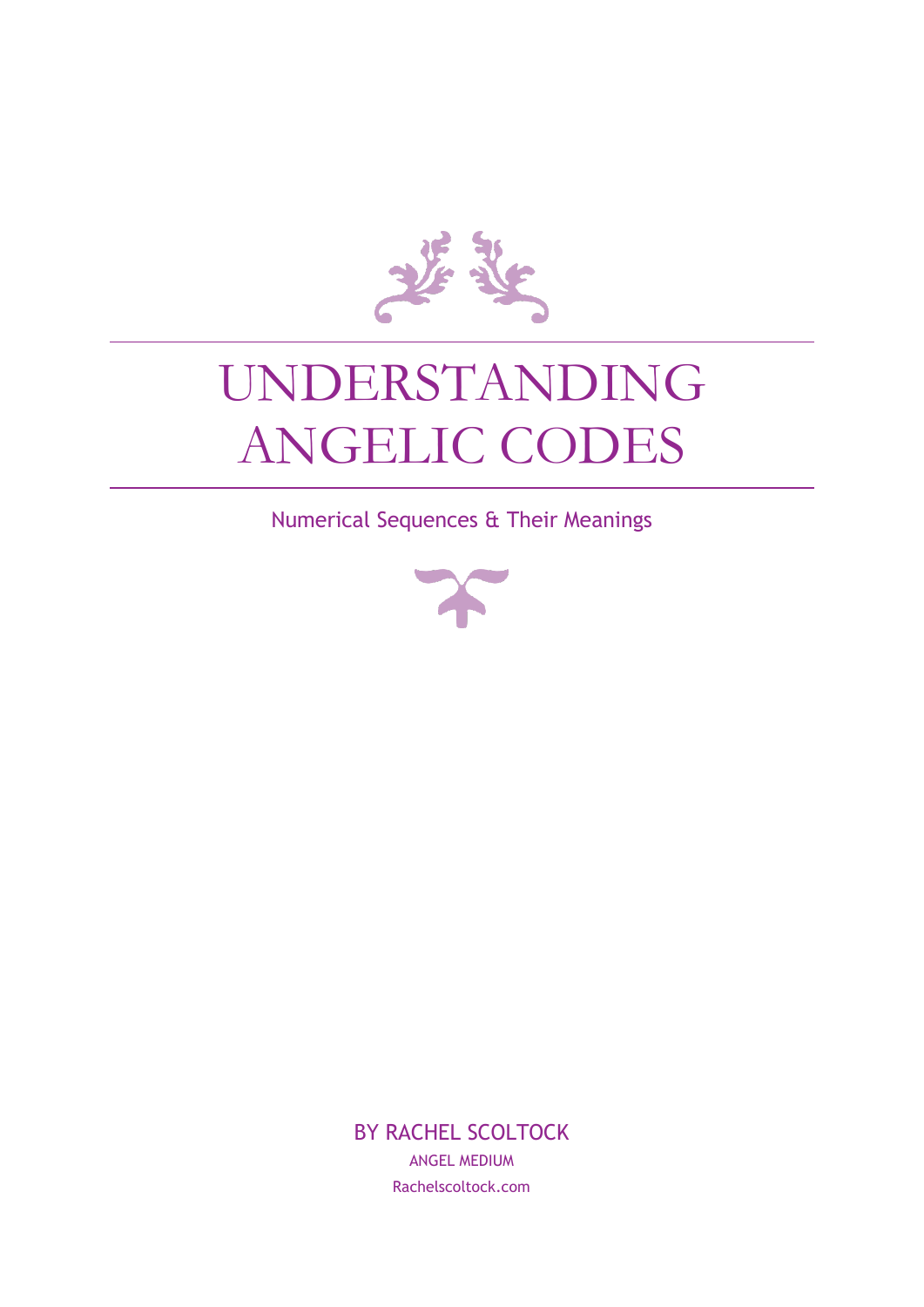

# UNDERSTANDING ANGELIC CODES

Numerical Sequences & Their Meanings



BY RACHEL SCOLTOCK ANGEL MEDIUM Rachelscoltock.com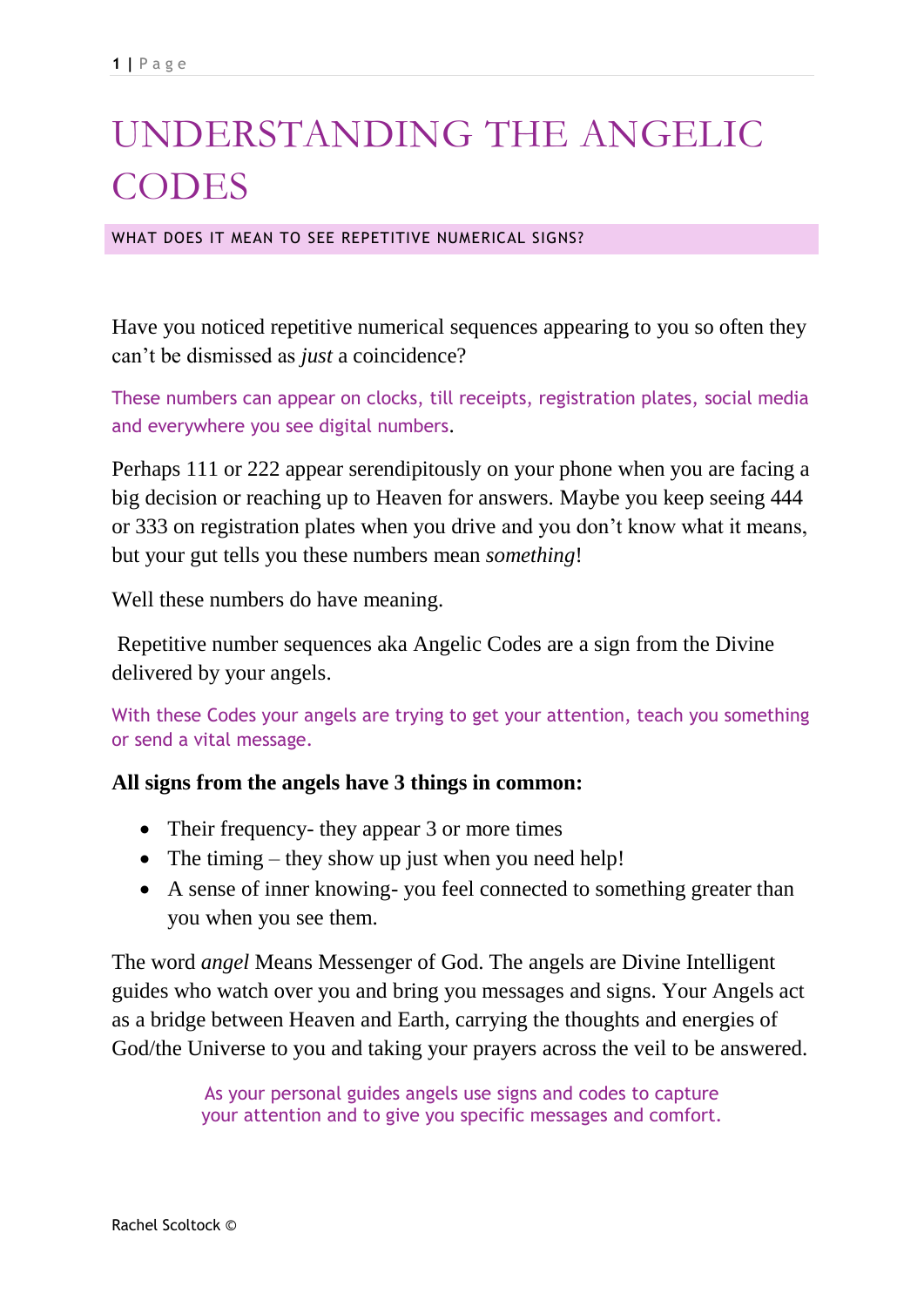## UNDERSTANDING THE ANGELIC CODES

WHAT DOES IT MEAN TO SEE REPETITIVE NUMERICAL SIGNS?

Have you noticed repetitive numerical sequences appearing to you so often they can't be dismissed as *just* a coincidence?

These numbers can appear on clocks, till receipts, registration plates, social media and everywhere you see digital numbers.

Perhaps 111 or 222 appear serendipitously on your phone when you are facing a big decision or reaching up to Heaven for answers. Maybe you keep seeing 444 or 333 on registration plates when you drive and you don't know what it means, but your gut tells you these numbers mean *something*!

Well these numbers do have meaning.

Repetitive number sequences aka Angelic Codes are a sign from the Divine delivered by your angels.

With these Codes your angels are trying to get your attention, teach you something or send a vital message.

#### **All signs from the angels have 3 things in common:**

- Their frequency- they appear 3 or more times
- The timing they show up just when you need help!
- A sense of inner knowing- you feel connected to something greater than you when you see them.

The word *angel* Means Messenger of God. The angels are Divine Intelligent guides who watch over you and bring you messages and signs. Your Angels act as a bridge between Heaven and Earth, carrying the thoughts and energies of God/the Universe to you and taking your prayers across the veil to be answered.

> As your personal guides angels use signs and codes to capture your attention and to give you specific messages and comfort.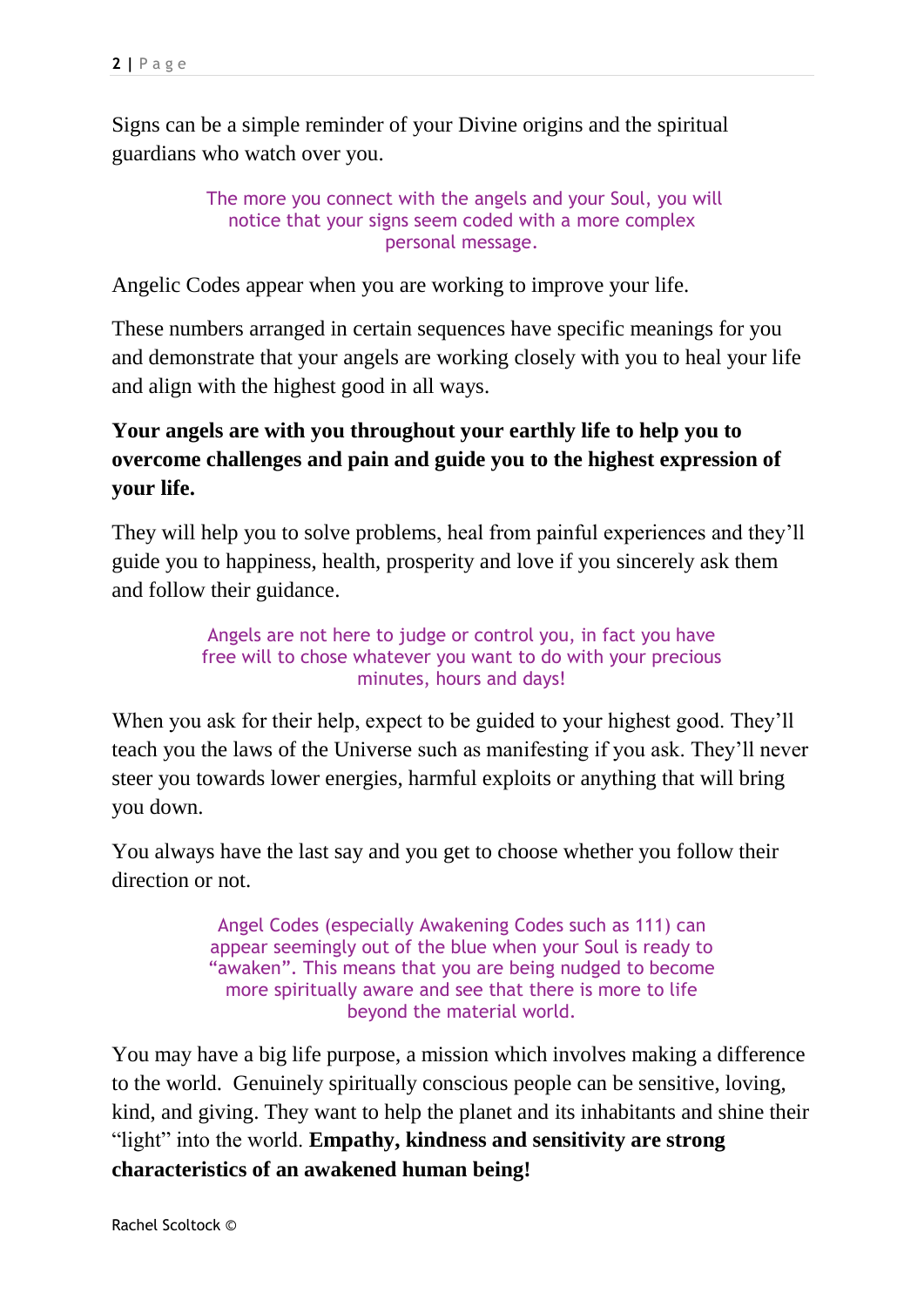Signs can be a simple reminder of your Divine origins and the spiritual guardians who watch over you.

> The more you connect with the angels and your Soul, you will notice that your signs seem coded with a more complex personal message.

Angelic Codes appear when you are working to improve your life.

These numbers arranged in certain sequences have specific meanings for you and demonstrate that your angels are working closely with you to heal your life and align with the highest good in all ways.

#### **Your angels are with you throughout your earthly life to help you to overcome challenges and pain and guide you to the highest expression of your life.**

They will help you to solve problems, heal from painful experiences and they'll guide you to happiness, health, prosperity and love if you sincerely ask them and follow their guidance.

> Angels are not here to judge or control you, in fact you have free will to chose whatever you want to do with your precious minutes, hours and days!

When you ask for their help, expect to be guided to your highest good. They'll teach you the laws of the Universe such as manifesting if you ask. They'll never steer you towards lower energies, harmful exploits or anything that will bring you down.

You always have the last say and you get to choose whether you follow their direction or not.

> Angel Codes (especially Awakening Codes such as 111) can appear seemingly out of the blue when your Soul is ready to "awaken". This means that you are being nudged to become more spiritually aware and see that there is more to life beyond the material world.

You may have a big life purpose, a mission which involves making a difference to the world. Genuinely spiritually conscious people can be sensitive, loving, kind, and giving. They want to help the planet and its inhabitants and shine their "light" into the world. **Empathy, kindness and sensitivity are strong characteristics of an awakened human being!**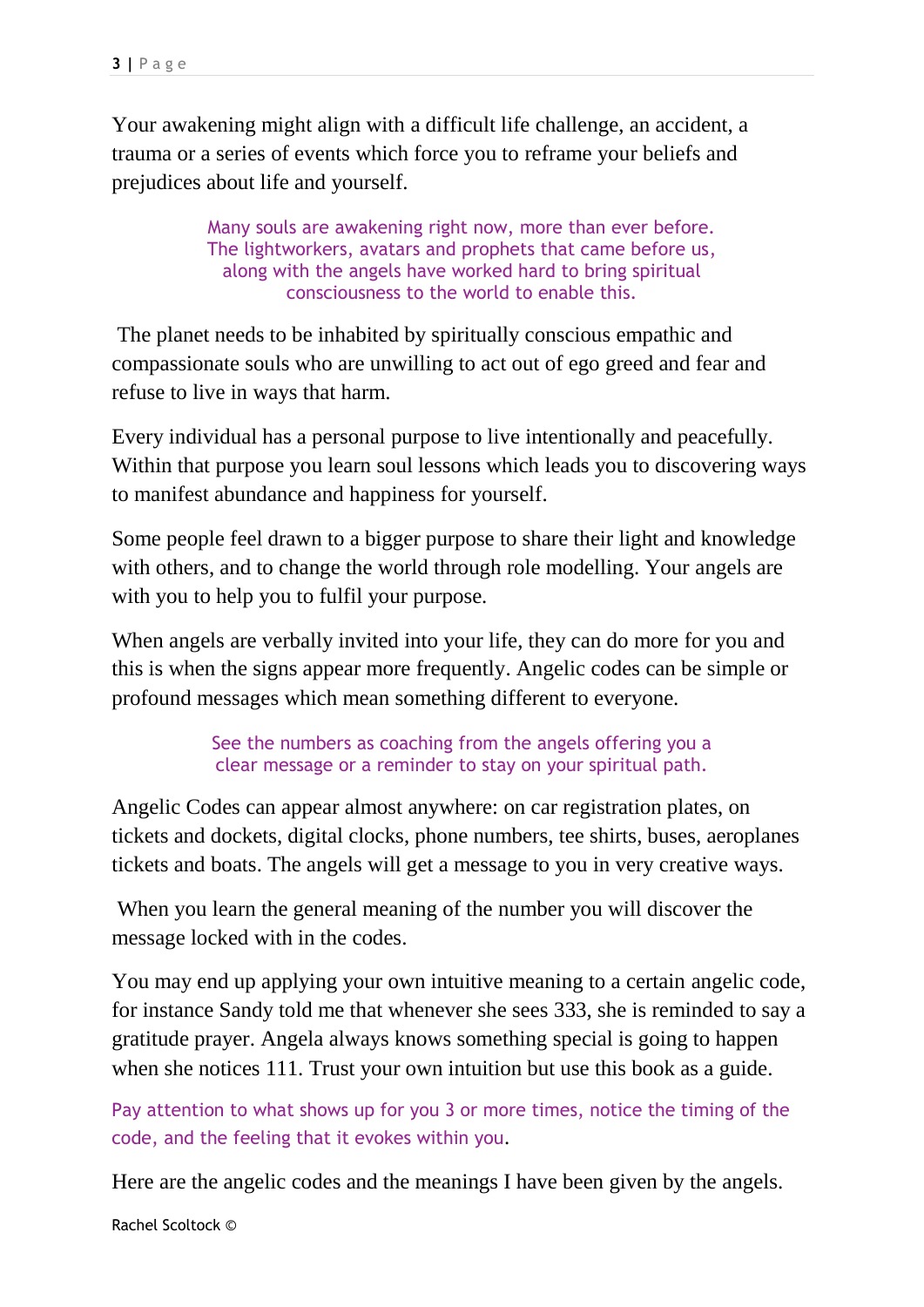Your awakening might align with a difficult life challenge, an accident, a trauma or a series of events which force you to reframe your beliefs and prejudices about life and yourself.

> Many souls are awakening right now, more than ever before. The lightworkers, avatars and prophets that came before us, along with the angels have worked hard to bring spiritual consciousness to the world to enable this.

The planet needs to be inhabited by spiritually conscious empathic and compassionate souls who are unwilling to act out of ego greed and fear and refuse to live in ways that harm.

Every individual has a personal purpose to live intentionally and peacefully. Within that purpose you learn soul lessons which leads you to discovering ways to manifest abundance and happiness for yourself.

Some people feel drawn to a bigger purpose to share their light and knowledge with others, and to change the world through role modelling. Your angels are with you to help you to fulfil your purpose.

When angels are verbally invited into your life, they can do more for you and this is when the signs appear more frequently. Angelic codes can be simple or profound messages which mean something different to everyone.

> See the numbers as coaching from the angels offering you a clear message or a reminder to stay on your spiritual path.

Angelic Codes can appear almost anywhere: on car registration plates, on tickets and dockets, digital clocks, phone numbers, tee shirts, buses, aeroplanes tickets and boats. The angels will get a message to you in very creative ways.

When you learn the general meaning of the number you will discover the message locked with in the codes.

You may end up applying your own intuitive meaning to a certain angelic code, for instance Sandy told me that whenever she sees 333, she is reminded to say a gratitude prayer. Angela always knows something special is going to happen when she notices 111. Trust your own intuition but use this book as a guide.

Pay attention to what shows up for you 3 or more times, notice the timing of the code, and the feeling that it evokes within you.

Here are the angelic codes and the meanings I have been given by the angels.

Rachel Scoltock ©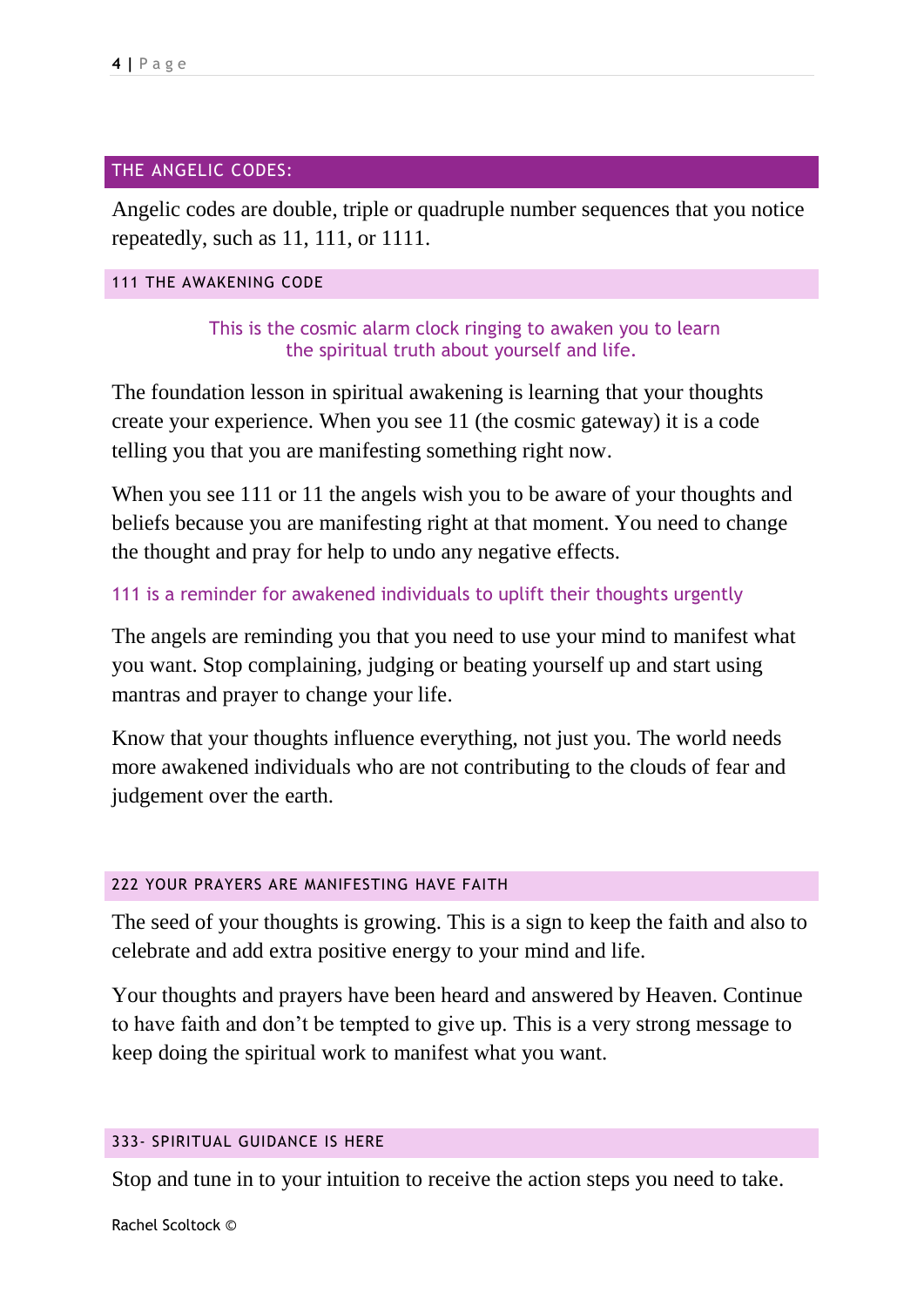#### THE ANGELIC CODES:

Angelic codes are double, triple or quadruple number sequences that you notice repeatedly, such as 11, 111, or 1111.

#### 111 THE AWAKENING CODE

This is the cosmic alarm clock ringing to awaken you to learn the spiritual truth about yourself and life.

The foundation lesson in spiritual awakening is learning that your thoughts create your experience. When you see 11 (the cosmic gateway) it is a code telling you that you are manifesting something right now.

When you see 111 or 11 the angels wish you to be aware of your thoughts and beliefs because you are manifesting right at that moment. You need to change the thought and pray for help to undo any negative effects.

#### 111 is a reminder for awakened individuals to uplift their thoughts urgently

The angels are reminding you that you need to use your mind to manifest what you want. Stop complaining, judging or beating yourself up and start using mantras and prayer to change your life.

Know that your thoughts influence everything, not just you. The world needs more awakened individuals who are not contributing to the clouds of fear and judgement over the earth.

#### 222 YOUR PRAYERS ARE MANIFESTING HAVE FAITH

The seed of your thoughts is growing. This is a sign to keep the faith and also to celebrate and add extra positive energy to your mind and life.

Your thoughts and prayers have been heard and answered by Heaven. Continue to have faith and don't be tempted to give up. This is a very strong message to keep doing the spiritual work to manifest what you want.

#### 333- SPIRITUAL GUIDANCE IS HERE

Stop and tune in to your intuition to receive the action steps you need to take.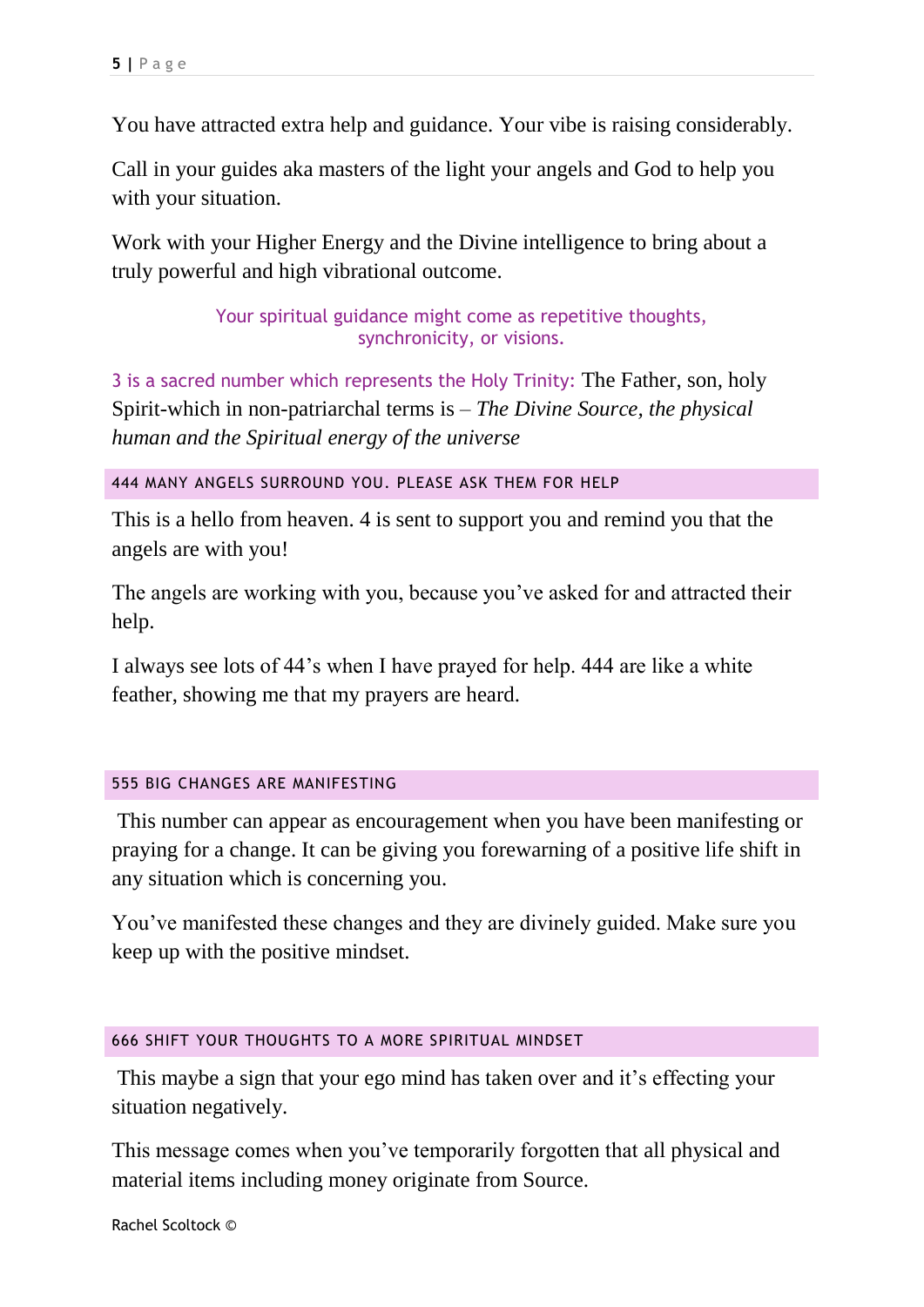You have attracted extra help and guidance. Your vibe is raising considerably.

Call in your guides aka masters of the light your angels and God to help you with your situation.

Work with your Higher Energy and the Divine intelligence to bring about a truly powerful and high vibrational outcome.

> Your spiritual guidance might come as repetitive thoughts, synchronicity, or visions.

3 is a sacred number which represents the Holy Trinity: The Father, son, holy Spirit-which in non-patriarchal terms is – *The Divine Source, the physical human and the Spiritual energy of the universe*

444 MANY ANGELS SURROUND YOU. PLEASE ASK THEM FOR HELP

This is a hello from heaven. 4 is sent to support you and remind you that the angels are with you!

The angels are working with you, because you've asked for and attracted their help.

I always see lots of 44's when I have prayed for help. 444 are like a white feather, showing me that my prayers are heard.

#### 555 BIG CHANGES ARE MANIFESTING

This number can appear as encouragement when you have been manifesting or praying for a change. It can be giving you forewarning of a positive life shift in any situation which is concerning you.

You've manifested these changes and they are divinely guided. Make sure you keep up with the positive mindset.

#### 666 SHIFT YOUR THOUGHTS TO A MORE SPIRITUAL MINDSET

This maybe a sign that your ego mind has taken over and it's effecting your situation negatively.

This message comes when you've temporarily forgotten that all physical and material items including money originate from Source.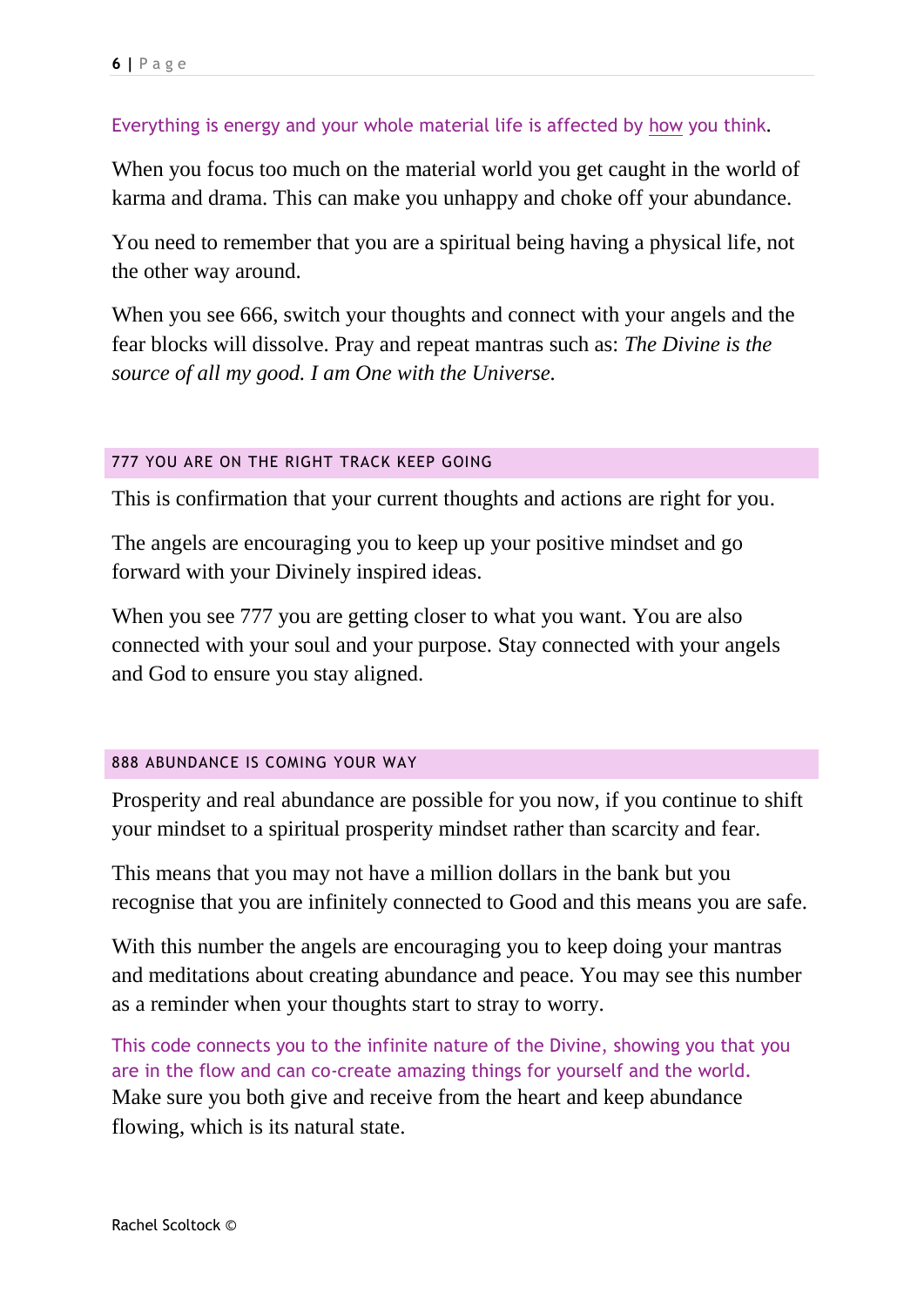#### Everything is energy and your whole material life is affected by how you think.

When you focus too much on the material world you get caught in the world of karma and drama. This can make you unhappy and choke off your abundance.

You need to remember that you are a spiritual being having a physical life, not the other way around.

When you see 666, switch your thoughts and connect with your angels and the fear blocks will dissolve. Pray and repeat mantras such as: *The Divine is the source of all my good. I am One with the Universe.* 

#### 777 YOU ARE ON THE RIGHT TRACK KEEP GOING

This is confirmation that your current thoughts and actions are right for you.

The angels are encouraging you to keep up your positive mindset and go forward with your Divinely inspired ideas.

When you see 777 you are getting closer to what you want. You are also connected with your soul and your purpose. Stay connected with your angels and God to ensure you stay aligned.

#### 888 ABUNDANCE IS COMING YOUR WAY

Prosperity and real abundance are possible for you now, if you continue to shift your mindset to a spiritual prosperity mindset rather than scarcity and fear.

This means that you may not have a million dollars in the bank but you recognise that you are infinitely connected to Good and this means you are safe.

With this number the angels are encouraging you to keep doing your mantras and meditations about creating abundance and peace. You may see this number as a reminder when your thoughts start to stray to worry.

This code connects you to the infinite nature of the Divine, showing you that you are in the flow and can co-create amazing things for yourself and the world. Make sure you both give and receive from the heart and keep abundance flowing, which is its natural state.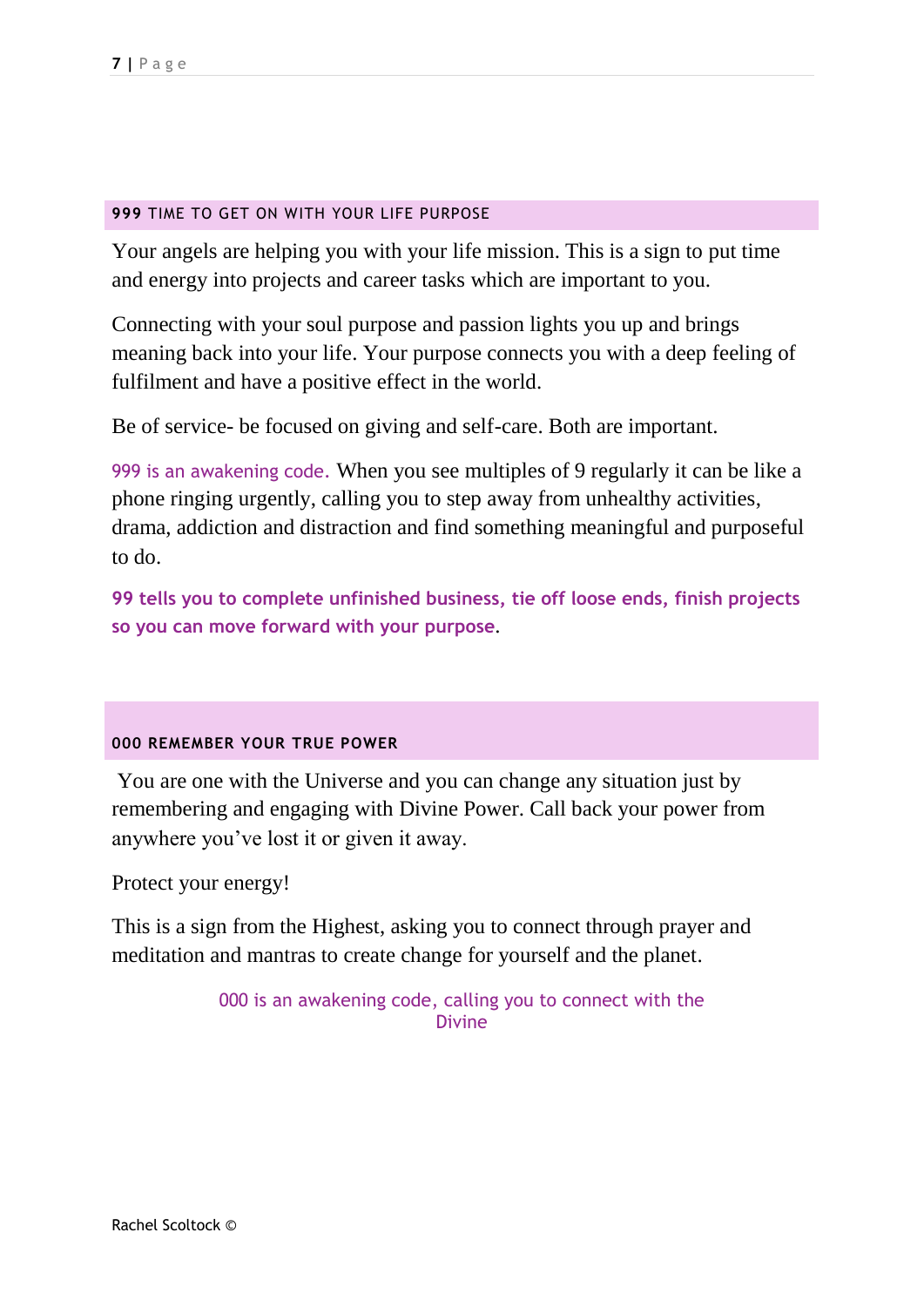#### **999** TIME TO GET ON WITH YOUR LIFE PURPOSE

Your angels are helping you with your life mission. This is a sign to put time and energy into projects and career tasks which are important to you.

Connecting with your soul purpose and passion lights you up and brings meaning back into your life. Your purpose connects you with a deep feeling of fulfilment and have a positive effect in the world.

Be of service- be focused on giving and self-care. Both are important.

999 is an awakening code. When you see multiples of 9 regularly it can be like a phone ringing urgently, calling you to step away from unhealthy activities, drama, addiction and distraction and find something meaningful and purposeful to do.

**99 tells you to complete unfinished business, tie off loose ends, finish projects so you can move forward with your purpose**.

#### **000 REMEMBER YOUR TRUE POWER**

You are one with the Universe and you can change any situation just by remembering and engaging with Divine Power. Call back your power from anywhere you've lost it or given it away.

Protect your energy!

This is a sign from the Highest, asking you to connect through prayer and meditation and mantras to create change for yourself and the planet.

> 000 is an awakening code, calling you to connect with the Divine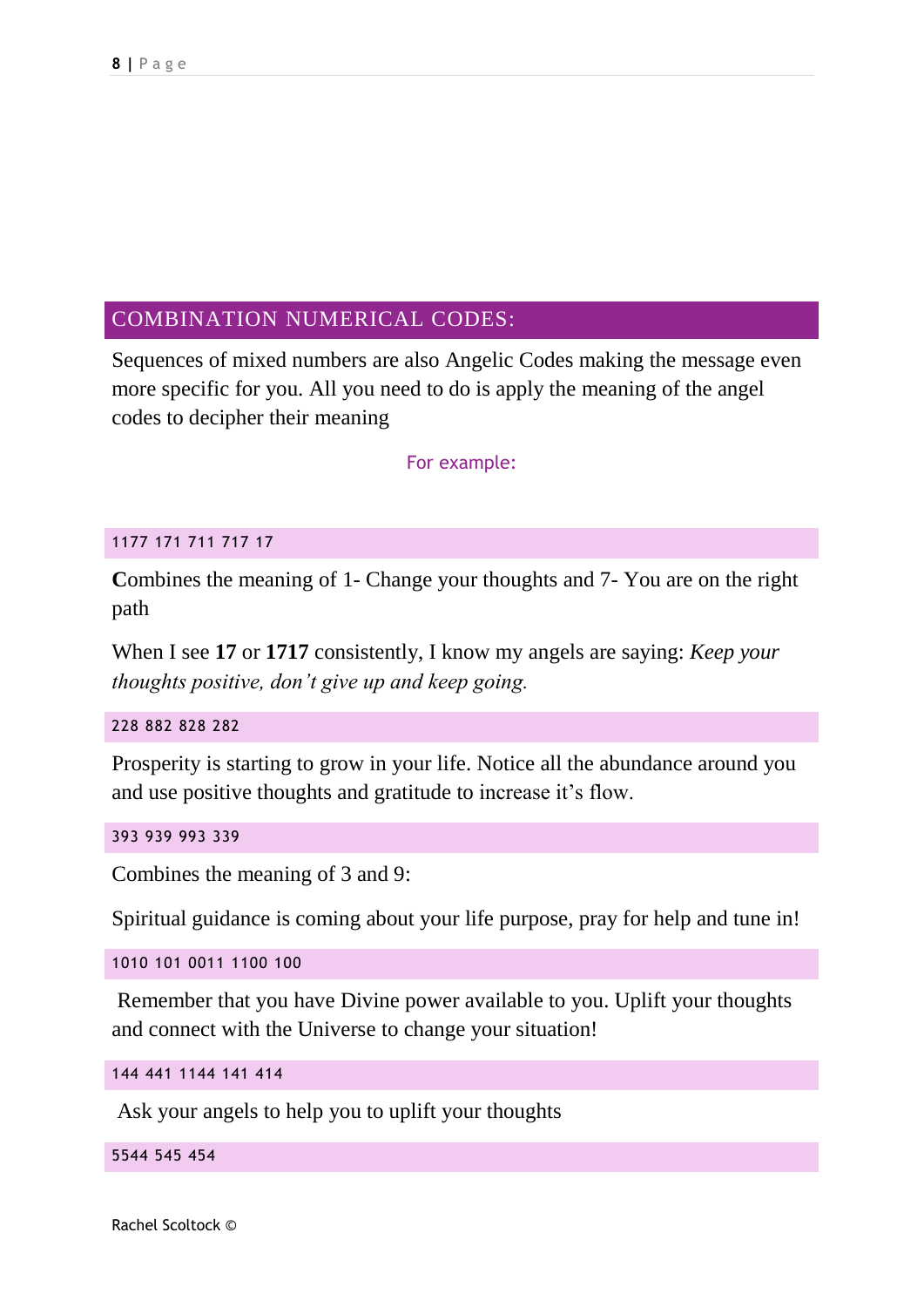#### COMBINATION NUMERICAL CODES:

Sequences of mixed numbers are also Angelic Codes making the message even more specific for you. All you need to do is apply the meaning of the angel codes to decipher their meaning

For example:

#### 1177 171 711 717 17

Combines the meaning of 1- Change your thoughts and 7- You are on the right path

When I see **17** or **1717** consistently, I know my angels are saying: *Keep your thoughts positive, don't give up and keep going.*

#### 228 882 828 282

Prosperity is starting to grow in your life. Notice all the abundance around you and use positive thoughts and gratitude to increase it's flow.

#### 393 939 993 339

Combines the meaning of 3 and 9:

Spiritual guidance is coming about your life purpose, pray for help and tune in!

1010 101 0011 1100 100

Remember that you have Divine power available to you. Uplift your thoughts and connect with the Universe to change your situation!

```
144 441 1144 141 414
```
Ask your angels to help you to uplift your thoughts

5544 545 454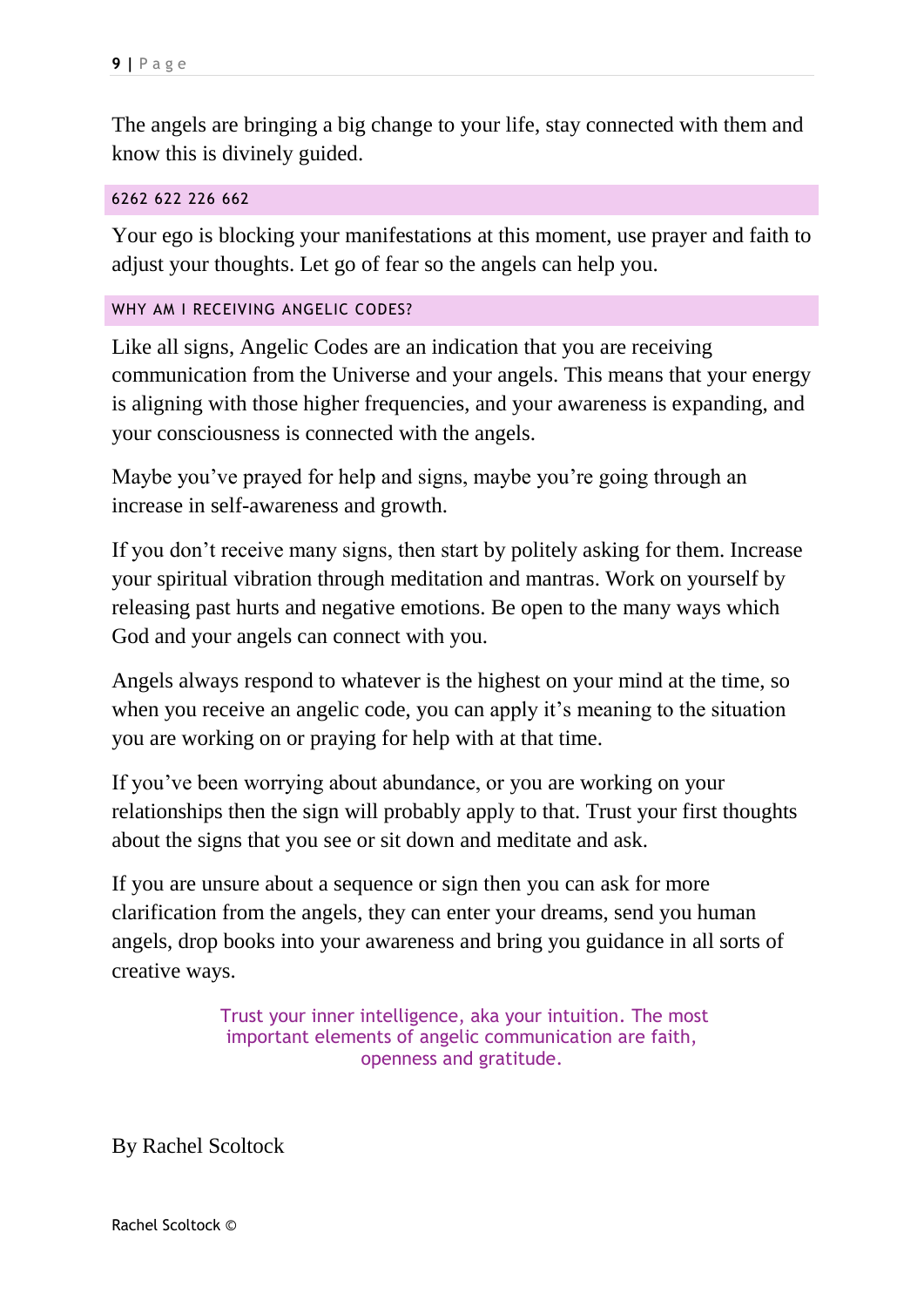The angels are bringing a big change to your life, stay connected with them and know this is divinely guided.

#### 6262 622 226 662

Your ego is blocking your manifestations at this moment, use prayer and faith to adjust your thoughts. Let go of fear so the angels can help you.

#### WHY AM I RECEIVING ANGELIC CODES?

Like all signs, Angelic Codes are an indication that you are receiving communication from the Universe and your angels. This means that your energy is aligning with those higher frequencies, and your awareness is expanding, and your consciousness is connected with the angels.

Maybe you've prayed for help and signs, maybe you're going through an increase in self-awareness and growth.

If you don't receive many signs, then start by politely asking for them. Increase your spiritual vibration through meditation and mantras. Work on yourself by releasing past hurts and negative emotions. Be open to the many ways which God and your angels can connect with you.

Angels always respond to whatever is the highest on your mind at the time, so when you receive an angelic code, you can apply it's meaning to the situation you are working on or praying for help with at that time.

If you've been worrying about abundance, or you are working on your relationships then the sign will probably apply to that. Trust your first thoughts about the signs that you see or sit down and meditate and ask.

If you are unsure about a sequence or sign then you can ask for more clarification from the angels, they can enter your dreams, send you human angels, drop books into your awareness and bring you guidance in all sorts of creative ways.

> Trust your inner intelligence, aka your intuition. The most important elements of angelic communication are faith, openness and gratitude.

By Rachel Scoltock